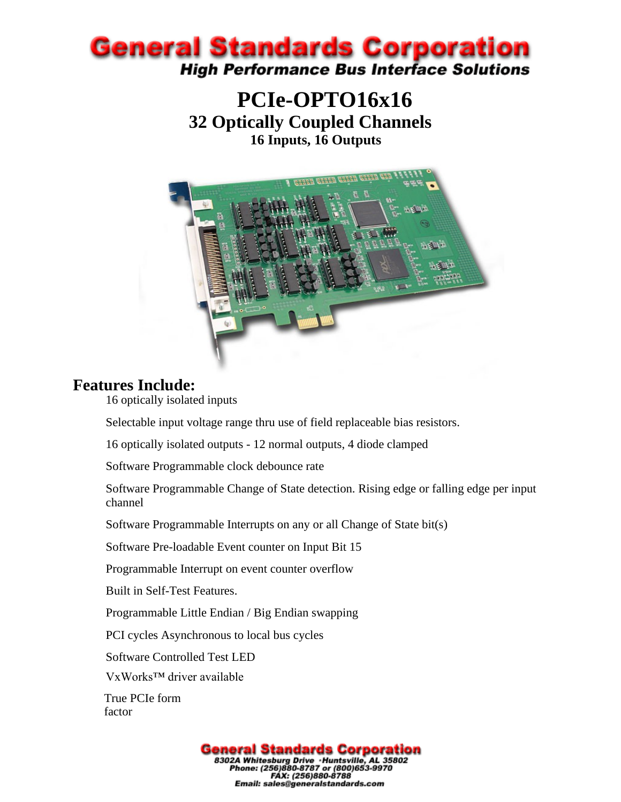

### **PCIe-OPTO16x16 32 Optically Coupled Channels 16 Inputs, 16 Outputs**



#### **Features Include:**

16 optically isolated inputs

Selectable input voltage range thru use of field replaceable bias resistors.

16 optically isolated outputs - 12 normal outputs, 4 diode clamped

Software Programmable clock debounce rate

Software Programmable Change of State detection. Rising edge or falling edge per input channel

Software Programmable Interrupts on any or all Change of State bit(s)

Software Pre-loadable Event counter on Input Bit 15

Programmable Interrupt on event counter overflow

Built in Self-Test Features.

Programmable Little Endian / Big Endian swapping

PCI cycles Asynchronous to local bus cycles

Software Controlled Test LED

VxWorks™ driver available

True PCIe form factor

> **General Standards Corporation** 83024 Whitesburg Drive . Huntsville, AL 35802<br>Phone: (256)880-8787 or (800)653-9970<br>FAX: (256)880-8788 Email: sales@generalstandards.com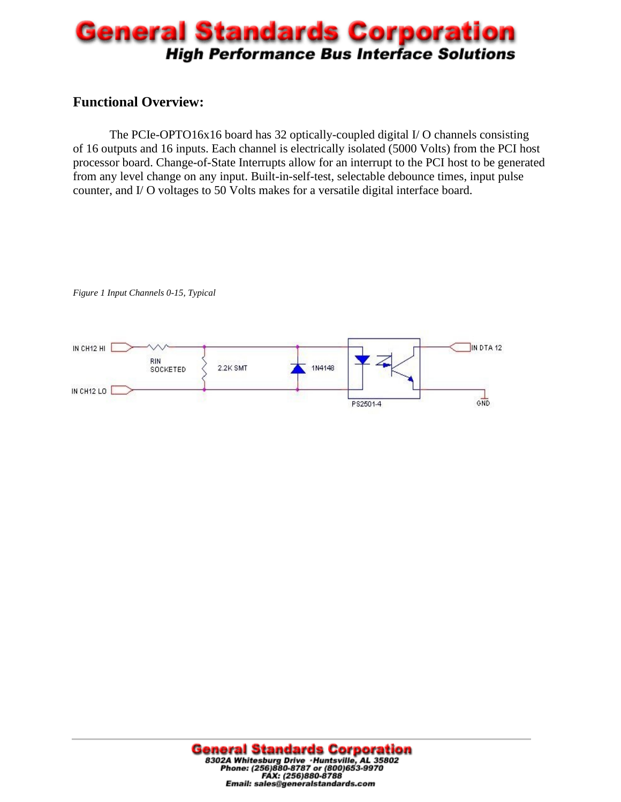## **General Standards Corporation High Performance Bus Interface Solutions**

#### **Functional Overview:**

The PCIe-OPTO16x16 board has 32 optically-coupled digital I/ O channels consisting of 16 outputs and 16 inputs. Each channel is electrically isolated (5000 Volts) from the PCI host processor board. Change-of-State Interrupts allow for an interrupt to the PCI host to be generated from any level change on any input. Built-in-self-test, selectable debounce times, input pulse counter, and I/ O voltages to 50 Volts makes for a versatile digital interface board.



*Figure 1 Input Channels 0-15, Typical*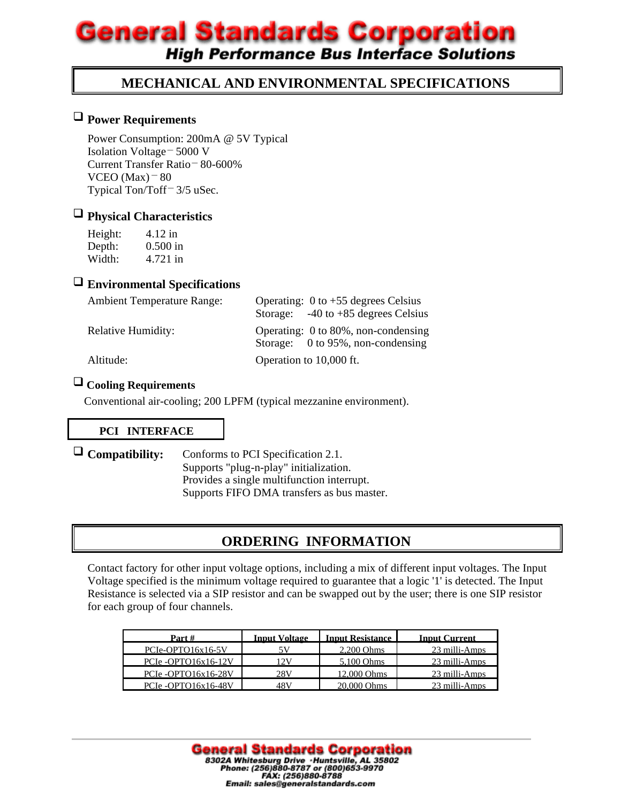# **General Standards Corporation**

**High Performance Bus Interface Solutions** 

#### **MECHANICAL AND ENVIRONMENTAL SPECIFICATIONS**

#### **Power Requirements**

Power Consumption: 200mA @ 5V Typical Isolation Voltage – 5000 V Current Transfer Ratio – 80-600% VCEO (Max) $-80$ Typical Ton/Toff<sup>-</sup> 3/5 uSec.

## **Physical Characteristics**

| Height: | 4.12 in    |
|---------|------------|
| Depth:  | $0.500$ in |
| Width:  | 4.721 in   |

#### **Environmental Specifications**

| Operating: $0$ to +55 degrees Celsius                                    |  |  |
|--------------------------------------------------------------------------|--|--|
| Storage: $-40$ to $+85$ degrees Celsius                                  |  |  |
| Operating: 0 to 80%, non-condensing<br>Storage: 0 to 95%, non-condensing |  |  |
| Operation to 10,000 ft.                                                  |  |  |
|                                                                          |  |  |

#### **Cooling Requirements**

Conventional air-cooling; 200 LPFM (typical mezzanine environment).

#### **PCI INTERFACE**

 **Compatibility:** Conforms to PCI Specification 2.1. Supports "plug-n-play" initialization. Provides a single multifunction interrupt. Supports FIFO DMA transfers as bus master.

#### **ORDERING INFORMATION**

Contact factory for other input voltage options, including a mix of different input voltages. The Input Voltage specified is the minimum voltage required to guarantee that a logic '1' is detected. The Input Resistance is selected via a SIP resistor and can be swapped out by the user; there is one SIP resistor for each group of four channels.

| Part #             | <b>Input Voltage</b> | <b>Input Resistance</b> | <b>Input Current</b> |
|--------------------|----------------------|-------------------------|----------------------|
| PCIe-OPTO16x16-5V  |                      | $2.200$ Ohms            | 23 milli-Amps        |
| PCIe-OPTO16x16-12V | 12 V                 | 5.100 Ohms              | 23 milli-Amps        |
| PCIe-OPTO16x16-28V | 28V                  | 12,000 Ohms             | 23 milli-Amps        |
| PCIe-OPTO16x16-48V | 48 V                 | 20.000 Ohms             | 23 milli-Amps        |